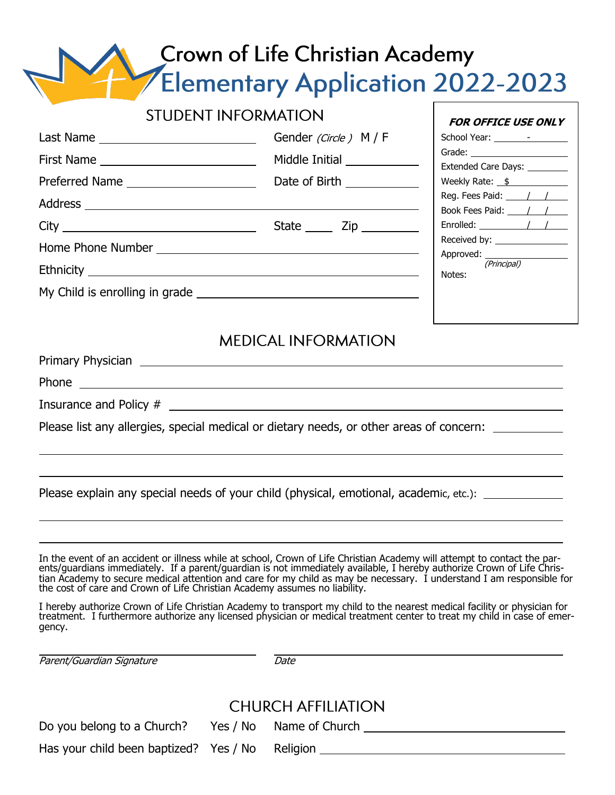# **Crown of Life Christian Academy<br>Elementary Application 2022-2023**

|  | <b>STUDENT INFORMATION</b>                                                                                                                                                                                                                                                                                                                                                                                                            | FOR OFFICE USE ONLY                                                                  |  |
|--|---------------------------------------------------------------------------------------------------------------------------------------------------------------------------------------------------------------------------------------------------------------------------------------------------------------------------------------------------------------------------------------------------------------------------------------|--------------------------------------------------------------------------------------|--|
|  | Gender (Circle) M / F                                                                                                                                                                                                                                                                                                                                                                                                                 | Extended Care Days: ________                                                         |  |
|  | Middle Initial ____________                                                                                                                                                                                                                                                                                                                                                                                                           |                                                                                      |  |
|  |                                                                                                                                                                                                                                                                                                                                                                                                                                       | Weekly Rate: $\frac{\$}{\$}$<br>Reg. Fees Paid: $\frac{1}{1}$<br>Book Fees Paid: / / |  |
|  |                                                                                                                                                                                                                                                                                                                                                                                                                                       |                                                                                      |  |
|  |                                                                                                                                                                                                                                                                                                                                                                                                                                       | Enrolled: $\sqrt{1 + \frac{1}{2}}$                                                   |  |
|  |                                                                                                                                                                                                                                                                                                                                                                                                                                       | Received by: ________________                                                        |  |
|  | Approved: (Principal)<br>Notes:                                                                                                                                                                                                                                                                                                                                                                                                       |                                                                                      |  |
|  |                                                                                                                                                                                                                                                                                                                                                                                                                                       |                                                                                      |  |
|  | Please list any allergies, special medical or dietary needs, or other areas of concern:                                                                                                                                                                                                                                                                                                                                               |                                                                                      |  |
|  | Please explain any special needs of your child (physical, emotional, academic, etc.): _____________                                                                                                                                                                                                                                                                                                                                   |                                                                                      |  |
|  | In the event of an accident or illness while at school, Crown of Life Christian Academy will attempt to contact the parents/guardians immediately. If a parent/guardian is not immediately available, I hereby authorize Crown<br>tian Academy to secure medical attention and care for my child as may be necessary. I understand I am responsible for<br>the cost of care and Crown of Life Christian Academy assumes no liability. |                                                                                      |  |
|  | I hereby authorize Crown of Life Christian Academy to transport my child to the nearest medical facility or physician for<br>treatment. I furthermore authorize any licensed physician or medical treatment center to treat my child in case of emer-                                                                                                                                                                                 |                                                                                      |  |

Parent/Guardian Signature **Date** 

gency.

## **CHURCH AFFILIATION**

| Do you belong to a Church?                      | Yes / No Name of Church |  |
|-------------------------------------------------|-------------------------|--|
| Has your child been baptized? Yes / No Religion |                         |  |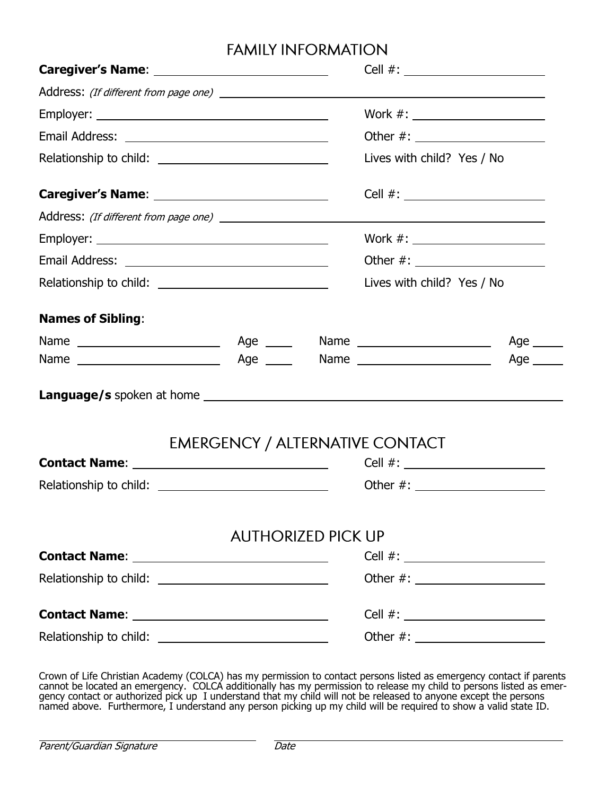## **FAMILY INFORMATION**

|                            |                                        | Cell #: ________________________ |                                 |            |
|----------------------------|----------------------------------------|----------------------------------|---------------------------------|------------|
|                            |                                        |                                  |                                 |            |
|                            |                                        |                                  | Work #: _______________________ |            |
|                            |                                        |                                  |                                 |            |
|                            | Lives with child? Yes / No             |                                  |                                 |            |
|                            |                                        |                                  |                                 |            |
|                            |                                        |                                  |                                 |            |
|                            |                                        |                                  | Work #: _______________________ |            |
|                            |                                        |                                  |                                 |            |
| Lives with child? Yes / No |                                        |                                  |                                 |            |
| <b>Names of Sibling:</b>   |                                        |                                  |                                 |            |
|                            |                                        |                                  |                                 | Age _____  |
|                            |                                        |                                  |                                 | Age $\_\_$ |
|                            |                                        |                                  |                                 |            |
|                            | <b>EMERGENCY / ALTERNATIVE CONTACT</b> |                                  |                                 |            |
|                            |                                        |                                  | $Cell$ #:                       |            |
|                            |                                        |                                  |                                 |            |
|                            |                                        | <b>AUTHORIZED PICK UP</b>        |                                 |            |
|                            |                                        |                                  |                                 |            |
|                            | Other #: _______________________       |                                  |                                 |            |
|                            |                                        |                                  |                                 |            |
|                            |                                        |                                  |                                 |            |

Crown of Life Christian Academy (COLCA) has my permission to contact persons listed as emergency contact if parents cannot be located an emergency. COLCA additionally has my permission to release my child to persons listed as emergency contact or authorized pick up I understand that my child will not be released to anyone except the persons named above. Furthermore, I understand any person picking up my child will be required to show a valid state ID.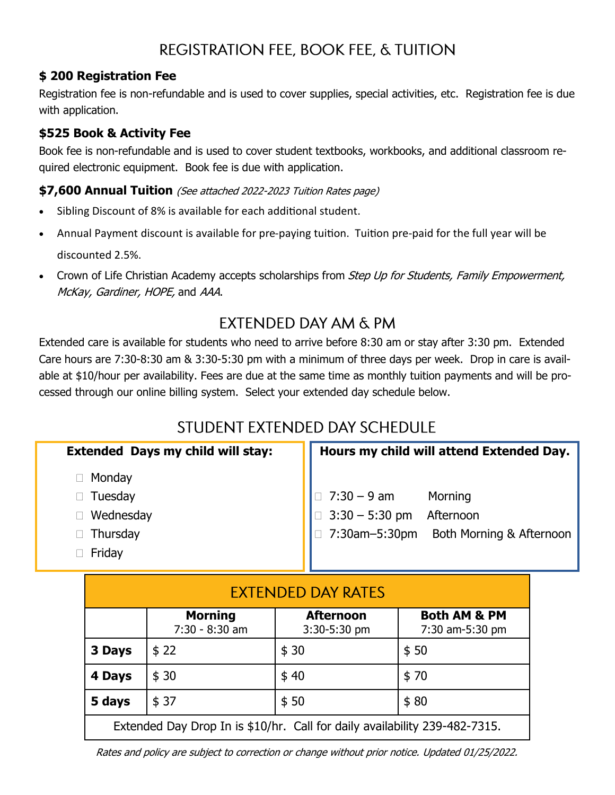# REGISTRATION FEE, BOOK FEE, & TUITION

#### **\$ 200 Registration Fee**

Registration fee is non-refundable and is used to cover supplies, special activities, etc. Registration fee is due with application.

#### **\$525 Book & Activity Fee**

Book fee is non-refundable and is used to cover student textbooks, workbooks, and additional classroom required electronic equipment. Book fee is due with application.

#### **\$7,600 Annual Tuition** (See attached 2022-2023 Tuition Rates page)

- Sibling Discount of 8% is available for each additional student.
- Annual Payment discount is available for pre-paying tuition. Tuition pre-paid for the full year will be discounted 2.5%.
- Crown of Life Christian Academy accepts scholarships from Step Up for Students, Family Empowerment, McKay, Gardiner, HOPE, and AAA.

## **FXTENDED DAY AM & PM**

Extended care is available for students who need to arrive before 8:30 am or stay after 3:30 pm. Extended Care hours are 7:30-8:30 am & 3:30-5:30 pm with a minimum of three days per week. Drop in care is available at \$10/hour per availability. Fees are due at the same time as monthly tuition payments and will be processed through our online billing system. Select your extended day schedule below.

## STUDENT EXTENDED DAY SCHEDULE

| <b>Extended Days my child will stay:</b> | Hours my child will attend Extended Day.                                                                       |  |  |
|------------------------------------------|----------------------------------------------------------------------------------------------------------------|--|--|
| Monday                                   |                                                                                                                |  |  |
| Tuesday                                  |                                                                                                                |  |  |
| Wednesday                                |                                                                                                                |  |  |
| Thursday                                 | $\Box$ 7:30 - 9 am Morning<br>$\Box$ 3:30 - 5:30 pm Afternoon<br>$\Box$ 7:30am-5:30pm Both Morning & Afternoon |  |  |
| Friday                                   |                                                                                                                |  |  |

| <b>EXTENDED DAY RATES</b>                                                  |                                  |                                  |                                            |  |
|----------------------------------------------------------------------------|----------------------------------|----------------------------------|--------------------------------------------|--|
|                                                                            | <b>Morning</b><br>7:30 - 8:30 am | <b>Afternoon</b><br>3:30-5:30 pm | <b>Both AM &amp; PM</b><br>7:30 am-5:30 pm |  |
| 3 Days                                                                     | \$22                             | \$30                             | \$50                                       |  |
| 4 Days                                                                     | \$30                             | \$40                             | \$70                                       |  |
| 5 days                                                                     | \$37                             | \$50                             | \$80                                       |  |
| Extended Day Drop In is \$10/hr. Call for daily availability 239-482-7315. |                                  |                                  |                                            |  |

Rates and policy are subject to correction or change without prior notice. Updated 01/25/2022.